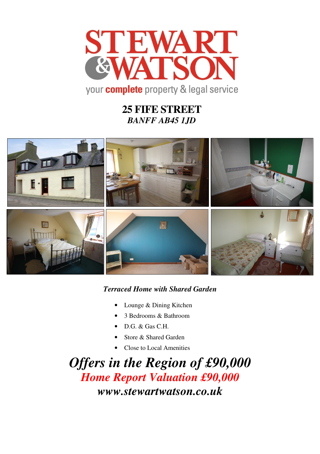

# **25 FIFE STREET**  *BANFF AB45 1JD*



## *Terraced Home with Shared Garden*

- Lounge & Dining Kitchen
- 3 Bedrooms & Bathroom
- D.G. & Gas C.H.
- Store & Shared Garden
- Close to Local Amenities

*Offers in the Region of £90,000 Home Report Valuation £90,000 www.stewartwatson.co.uk*